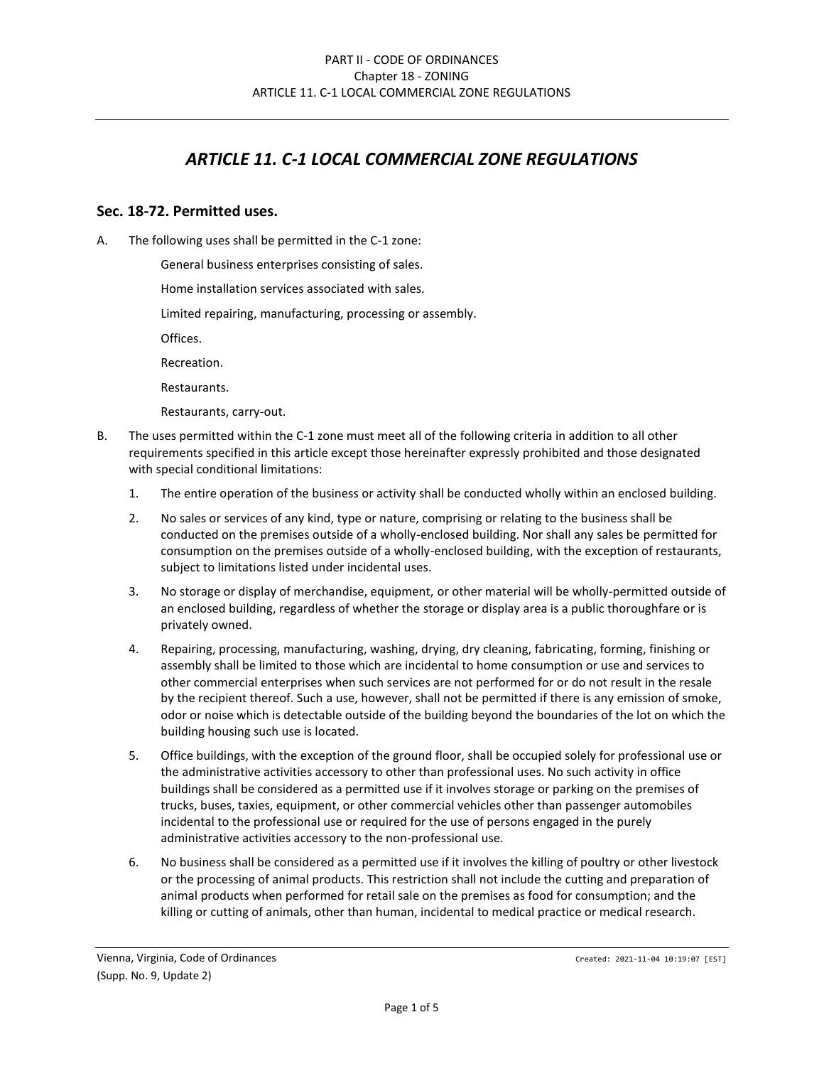# *ARTICLE 11. C-1 LOCAL COMMERCIAL ZONE REGULATIONS*

## **Sec. 18-72. Permitted uses.**

A. The following uses shall be permitted in the C-1 zone:

General business enterprises consisting of sales.

Home installation services associated with sales.

Limited repairing, manufacturing, processing or assembly.

Offices.

Recreation.

Restaurants.

Restaurants, carry-out.

- B. The uses permitted within the C-1 zone must meet all of the following criteria in addition to all other requirements specified in this article except those hereinafter expressly prohibited and those designated with special conditional limitations:
	- 1. The entire operation of the business or activity shall be conducted wholly within an enclosed building.
	- 2. No sales or services of any kind, type or nature, comprising or relating to the business shall be conducted on the premises outside of a wholly-enclosed building. Nor shall any sales be permitted for consumption on the premises outside of a wholly-enclosed building, with the exception of restaurants, subject to limitations listed under incidental uses.
	- 3. No storage or display of merchandise, equipment, or other material will be wholly-permitted outside of an enclosed building, regardless of whether the storage or display area is a public thoroughfare or is privately owned.
	- 4. Repairing, processing, manufacturing, washing, drying, dry cleaning, fabricating, forming, finishing or assembly shall be limited to those which are incidental to home consumption or use and services to other commercial enterprises when such services are not performed for or do not result in the resale by the recipient thereof. Such a use, however, shall not be permitted if there is any emission of smoke, odor or noise which is detectable outside of the building beyond the boundaries of the lot on which the building housing such use is located.
	- 5. Office buildings, with the exception of the ground floor, shall be occupied solely for professional use or the administrative activities accessory to other than professional uses. No such activity in office buildings shall be considered as a permitted use if it involves storage or parking on the premises of trucks, buses, taxies, equipment, or other commercial vehicles other than passenger automobiles incidental to the professional use or required for the use of persons engaged in the purely administrative activities accessory to the non-professional use.
	- 6. No business shall be considered as a permitted use if it involves the killing of poultry or other livestock or the processing of animal products. This restriction shall not include the cutting and preparation of animal products when performed for retail sale on the premises as food for consumption; and the killing or cutting of animals, other than human, incidental to medical practice or medical research.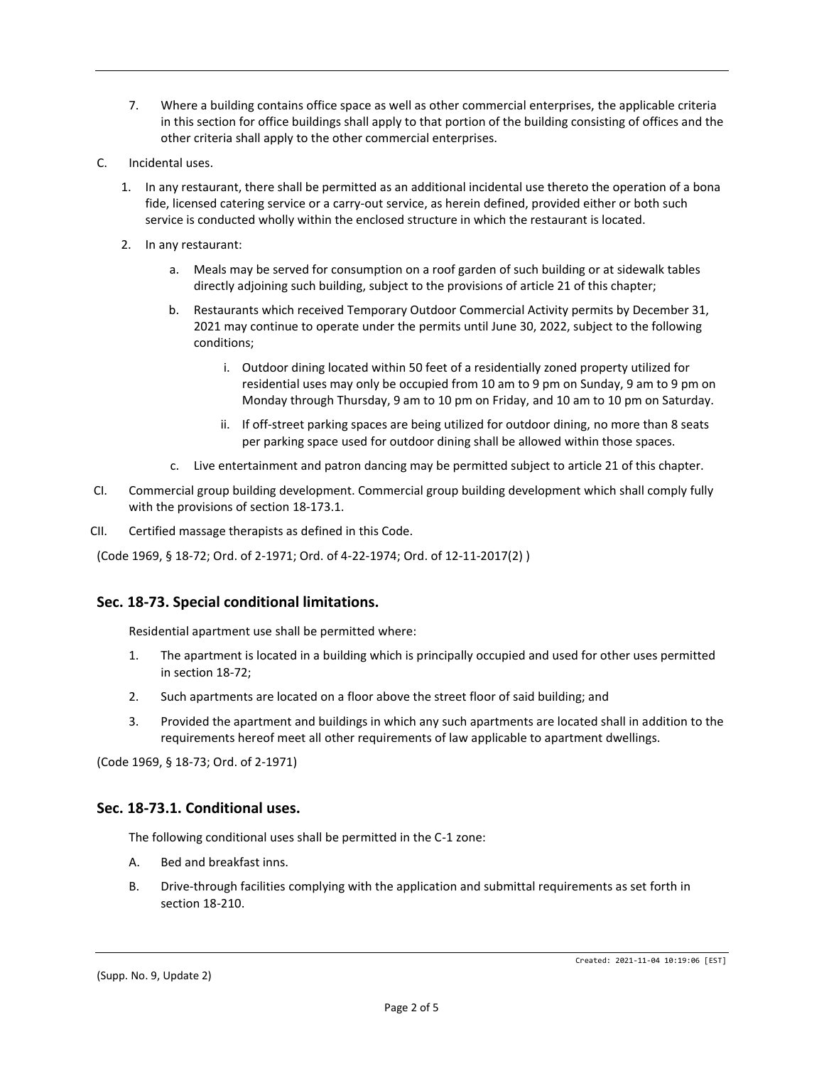- 7. Where a building contains office space as well as other commercial enterprises, the applicable criteria in this section for office buildings shall apply to that portion of the building consisting of offices and the other criteria shall apply to the other commercial enterprises.
- C. Incidental uses.
	- 1. In any restaurant, there shall be permitted as an additional incidental use thereto the operation of a bona fide, licensed catering service or a carry-out service, as herein defined, provided either or both such service is conducted wholly within the enclosed structure in which the restaurant is located.
	- 2. In any restaurant:
		- a. Meals may be served for consumption on a roof garden of such building or at sidewalk tables directly adjoining such building, subject to the provisions of article 21 of this chapter;
		- b. Restaurants which received Temporary Outdoor Commercial Activity permits by December 31, 2021 may continue to operate under the permits until June 30, 2022, subject to the following conditions;
			- i. Outdoor dining located within 50 feet of a residentially zoned property utilized for residential uses may only be occupied from 10 am to 9 pm on Sunday, 9 am to 9 pm on Monday through Thursday, 9 am to 10 pm on Friday, and 10 am to 10 pm on Saturday.
			- ii. If off-street parking spaces are being utilized for outdoor dining, no more than 8 seats per parking space used for outdoor dining shall be allowed within those spaces.
		- c. Live entertainment and patron dancing may be permitted subject to article 21 of this chapter.
- CI. Commercial group building development. Commercial group building development which shall comply fully with the provisions of section 18-173.1.
- CII. Certified massage therapists as defined in this Code.

(Code 1969, § 18-72; Ord. of 2-1971; Ord. of 4-22-1974; Ord. of 12-11-2017(2) )

# **Sec. 18-73. Special conditional limitations.**

Residential apartment use shall be permitted where:

- 1. The apartment is located in a building which is principally occupied and used for other uses permitted in section 18-72;
- 2. Such apartments are located on a floor above the street floor of said building; and
- 3. Provided the apartment and buildings in which any such apartments are located shall in addition to the requirements hereof meet all other requirements of law applicable to apartment dwellings.

(Code 1969, § 18-73; Ord. of 2-1971)

#### **Sec. 18-73.1. Conditional uses.**

The following conditional uses shall be permitted in the C-1 zone:

- A. Bed and breakfast inns.
- B. Drive-through facilities complying with the application and submittal requirements as set forth in section 18-210.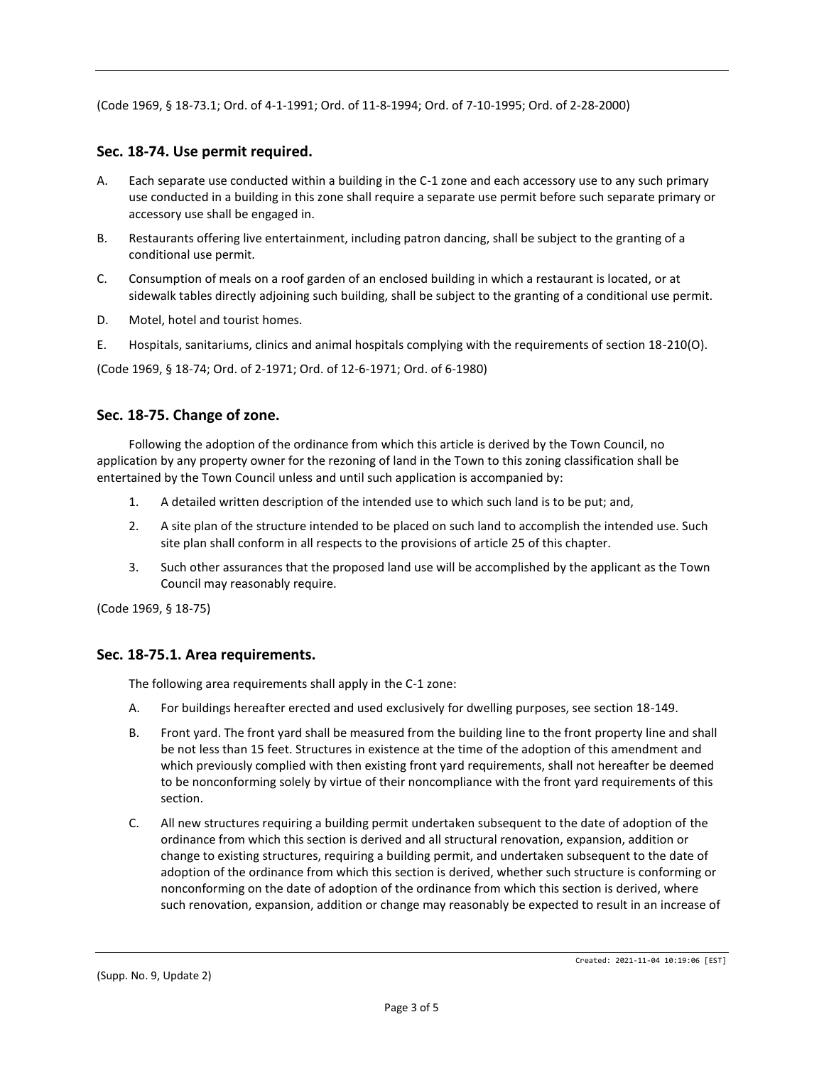(Code 1969, § 18-73.1; Ord. of 4-1-1991; Ord. of 11-8-1994; Ord. of 7-10-1995; Ord. of 2-28-2000)

# **Sec. 18-74. Use permit required.**

- A. Each separate use conducted within a building in the C-1 zone and each accessory use to any such primary use conducted in a building in this zone shall require a separate use permit before such separate primary or accessory use shall be engaged in.
- B. Restaurants offering live entertainment, including patron dancing, shall be subject to the granting of a conditional use permit.
- C. Consumption of meals on a roof garden of an enclosed building in which a restaurant is located, or at sidewalk tables directly adjoining such building, shall be subject to the granting of a conditional use permit.
- D. Motel, hotel and tourist homes.
- E. Hospitals, sanitariums, clinics and animal hospitals complying with the requirements of section 18-210(O).

(Code 1969, § 18-74; Ord. of 2-1971; Ord. of 12-6-1971; Ord. of 6-1980)

# **Sec. 18-75. Change of zone.**

Following the adoption of the ordinance from which this article is derived by the Town Council, no application by any property owner for the rezoning of land in the Town to this zoning classification shall be entertained by the Town Council unless and until such application is accompanied by:

- 1. A detailed written description of the intended use to which such land is to be put; and,
- 2. A site plan of the structure intended to be placed on such land to accomplish the intended use. Such site plan shall conform in all respects to the provisions of article 25 of this chapter.
- 3. Such other assurances that the proposed land use will be accomplished by the applicant as the Town Council may reasonably require.

(Code 1969, § 18-75)

# **Sec. 18-75.1. Area requirements.**

The following area requirements shall apply in the C-1 zone:

- A. For buildings hereafter erected and used exclusively for dwelling purposes, see section 18-149.
- B. Front yard. The front yard shall be measured from the building line to the front property line and shall be not less than 15 feet. Structures in existence at the time of the adoption of this amendment and which previously complied with then existing front yard requirements, shall not hereafter be deemed to be nonconforming solely by virtue of their noncompliance with the front yard requirements of this section.
- C. All new structures requiring a building permit undertaken subsequent to the date of adoption of the ordinance from which this section is derived and all structural renovation, expansion, addition or change to existing structures, requiring a building permit, and undertaken subsequent to the date of adoption of the ordinance from which this section is derived, whether such structure is conforming or nonconforming on the date of adoption of the ordinance from which this section is derived, where such renovation, expansion, addition or change may reasonably be expected to result in an increase of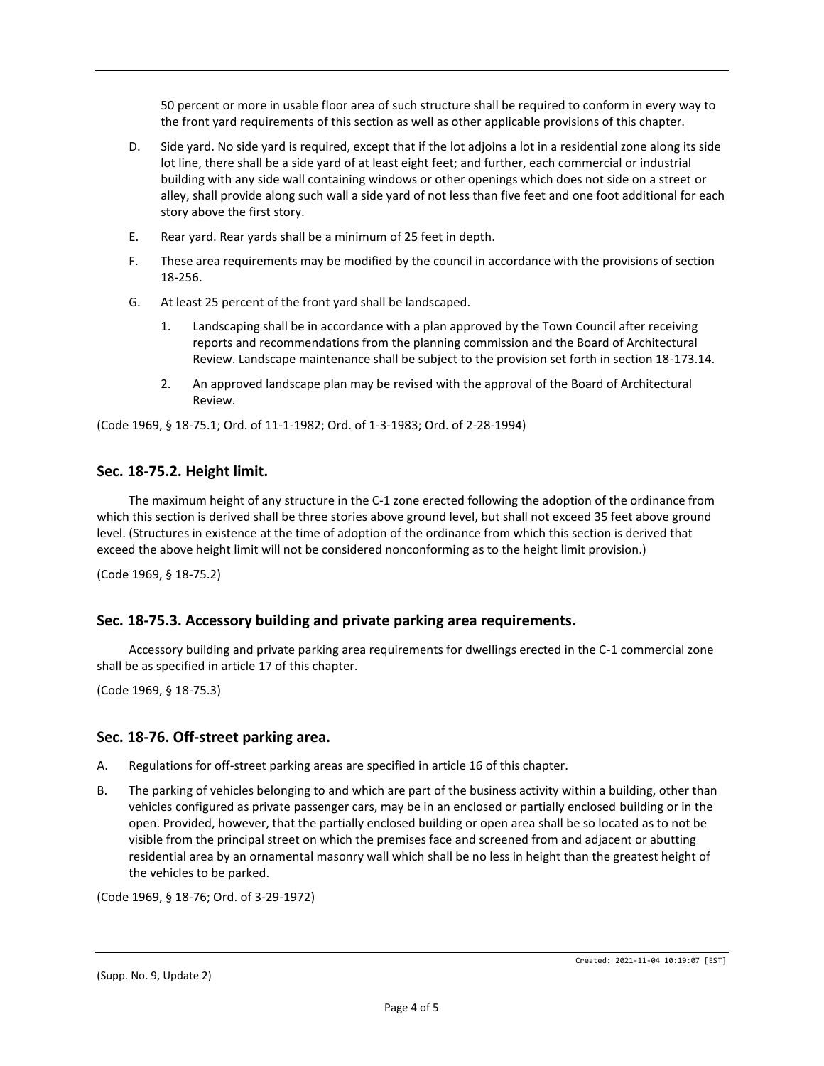50 percent or more in usable floor area of such structure shall be required to conform in every way to the front yard requirements of this section as well as other applicable provisions of this chapter.

- D. Side yard. No side yard is required, except that if the lot adjoins a lot in a residential zone along its side lot line, there shall be a side yard of at least eight feet; and further, each commercial or industrial building with any side wall containing windows or other openings which does not side on a street or alley, shall provide along such wall a side yard of not less than five feet and one foot additional for each story above the first story.
- E. Rear yard. Rear yards shall be a minimum of 25 feet in depth.
- F. These area requirements may be modified by the council in accordance with the provisions of section 18-256.
- G. At least 25 percent of the front yard shall be landscaped.
	- Landscaping shall be in accordance with a plan approved by the Town Council after receiving reports and recommendations from the planning commission and the Board of Architectural Review. Landscape maintenance shall be subject to the provision set forth in section 18-173.14.
	- 2. An approved landscape plan may be revised with the approval of the Board of Architectural Review.

(Code 1969, § 18-75.1; Ord. of 11-1-1982; Ord. of 1-3-1983; Ord. of 2-28-1994)

## **Sec. 18-75.2. Height limit.**

The maximum height of any structure in the C-1 zone erected following the adoption of the ordinance from which this section is derived shall be three stories above ground level, but shall not exceed 35 feet above ground level. (Structures in existence at the time of adoption of the ordinance from which this section is derived that exceed the above height limit will not be considered nonconforming as to the height limit provision.)

(Code 1969, § 18-75.2)

# **Sec. 18-75.3. Accessory building and private parking area requirements.**

Accessory building and private parking area requirements for dwellings erected in the C-1 commercial zone shall be as specified in article 17 of this chapter.

(Code 1969, § 18-75.3)

#### **Sec. 18-76. Off-street parking area.**

- A. Regulations for off-street parking areas are specified in article 16 of this chapter.
- B. The parking of vehicles belonging to and which are part of the business activity within a building, other than vehicles configured as private passenger cars, may be in an enclosed or partially enclosed building or in the open. Provided, however, that the partially enclosed building or open area shall be so located as to not be visible from the principal street on which the premises face and screened from and adjacent or abutting residential area by an ornamental masonry wall which shall be no less in height than the greatest height of the vehicles to be parked.

(Code 1969, § 18-76; Ord. of 3-29-1972)